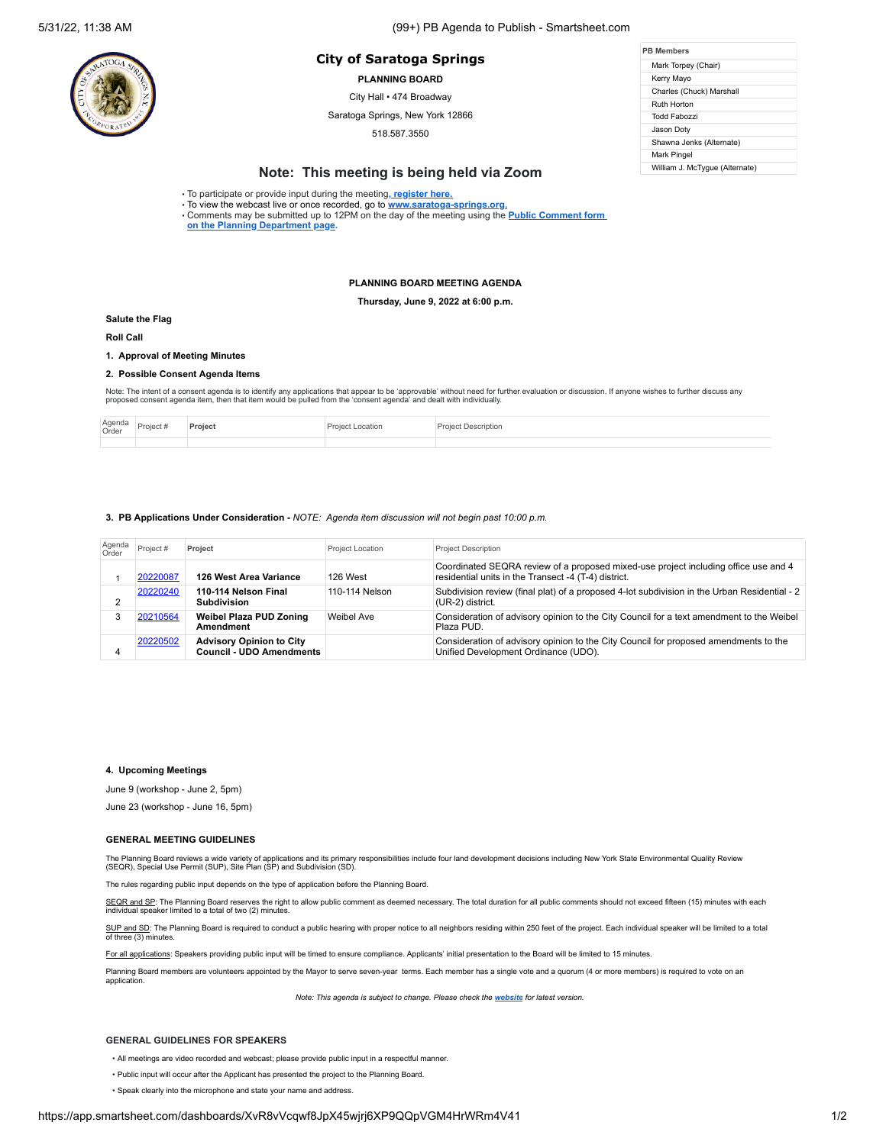# **PB Members City of Saratoga Springs**

**PLANNING BOARD**

City Hall • 474 Broadway

Saratoga Springs, New York 12866

518.587.3550

| <b>PB Members</b>              |  |  |  |  |  |
|--------------------------------|--|--|--|--|--|
| Mark Torpey (Chair)            |  |  |  |  |  |
| Kerry Mayo                     |  |  |  |  |  |
| Charles (Chuck) Marshall       |  |  |  |  |  |
| Ruth Horton                    |  |  |  |  |  |
| Todd Fabozzi                   |  |  |  |  |  |
| Jason Dotv                     |  |  |  |  |  |
| Shawna Jenks (Alternate)       |  |  |  |  |  |
| Mark Pingel                    |  |  |  |  |  |
| William J. McTyque (Alternate) |  |  |  |  |  |

## **Note: This meeting is being held via Zoom**

• To participate or provide input during the meeting**[, register here.](https://us02web.zoom.us/webinar/register/WN_eF2_YKQqSE6mVQHGEV62gQ)**

• To view the webcast live or once recorded, go to **[www.saratoga-springs.org](http://www.saratoga-springs.org/).** • Comments may be submitted [up to 12PM on the day of the meeting using the](https://saratoga-springs.org/FormCenter/Planning-Board-8/Land-Use-Board-Agenda-Public-Comment-95) **Public Comment form on the Planning Department page.**

#### **PLANNING BOARD MEETING AGENDA**

**Thursday, June 9, 2022 at 6:00 p.m.**

#### **Salute the Flag**

**Roll Call**

## **1. Approval of Meeting Minutes**

#### **2. Possible Consent Agenda Items**

Note: The intent of a consent agenda is to identify any applications that appear to be 'approvable' without need for further evaluation or discussion. If anyone wishes to further discuss any<br>proposed consent agenda item, t

| Agenda<br>Order | 2017 |  | ridtior |
|-----------------|------|--|---------|
|                 |      |  |         |

#### **3. PB Applications Under Consideration -** *NOTE: Agenda item discussion will not begin past 10:00 p.m.*

| Agenda<br>Order | Project # | Project                                                            | <b>Project Location</b> | <b>Project Description</b>                                                                                                                  |
|-----------------|-----------|--------------------------------------------------------------------|-------------------------|---------------------------------------------------------------------------------------------------------------------------------------------|
|                 | 20220087  | 126 West Area Variance                                             | 126 West                | Coordinated SEQRA review of a proposed mixed-use project including office use and 4<br>residential units in the Transect -4 (T-4) district. |
|                 | 20220240  | 110-114 Nelson Final<br><b>Subdivision</b>                         | 110-114 Nelson          | Subdivision review (final plat) of a proposed 4-lot subdivision in the Urban Residential - 2<br>(UR-2) district.                            |
|                 | 20210564  | <b>Weibel Plaza PUD Zoning</b><br>Amendment                        | Weibel Ave              | Consideration of advisory opinion to the City Council for a text amendment to the Weibel<br>Plaza PUD.                                      |
| 4               | 20220502  | <b>Advisory Opinion to City</b><br><b>Council - UDO Amendments</b> |                         | Consideration of advisory opinion to the City Council for proposed amendments to the<br>Unified Development Ordinance (UDO).                |

#### **4. Upcoming Meetings**

June 9 (workshop - June 2, 5pm)

June 23 (workshop - June 16, 5pm)

#### **GENERAL MEETING GUIDELINES**

The Planning Board reviews a wide variety of applications and its primary responsibilities include four land development decisions including New York State Environmental Quality Review<br>(SEQR), Special Use Permit (SUP), Sit

The rules regarding public input depends on the type of application before the Planning Board.

SEQR and SP: The Planning Board reserves the right to allow public comment as deemed necessary. The total duration for all public comments should not exceed fifteen (15) minutes with each individual speaker limited to a total of two (2) minutes.

SUP and SD: The Planning Board is required to conduct a public hearing with proper notice to all neighbors residing within 250 feet of the project. Each individual speaker will be limited to a total of three (3) minutes.

For all applications: Speakers providing public input will be timed to ensure compliance. Applicants' initial presentation to the Board will be limited to 15 minutes.

Planning Board members are volunteers appointed by the Mayor to serve seven-year terms. Each member has a single vote and a quorum (4 or more members) is required to vote on an application.

*Note: This agenda is subject to change. Please check the [website](https://saratoga-springs.org/AgendaCenter/ViewFile/Agenda/2604?html=true) for latest version.*

#### **GENERAL GUIDELINES FOR SPEAKERS**

- All meetings are video recorded and webcast; please provide public input in a respectful manner.
- Public input will occur after the Applicant has presented the project to the Planning Board.
- Speak clearly into the microphone and state your name and address.